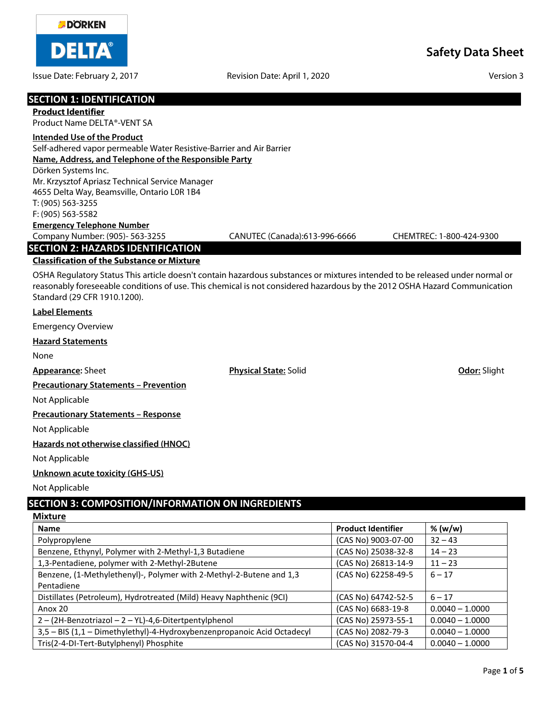

Issue Date: February 2, 2017 **Revision Date: April 1, 2020** Version 3

| <b>SECTION 1: IDENTIFICATION</b><br><b>Product Identifier</b>                                                                                             |                               |                          |
|-----------------------------------------------------------------------------------------------------------------------------------------------------------|-------------------------------|--------------------------|
| Product Name DELTA®-VENT SA                                                                                                                               |                               |                          |
| <b>Intended Use of the Product</b>                                                                                                                        |                               |                          |
| Self-adhered vapor permeable Water Resistive-Barrier and Air Barrier                                                                                      |                               |                          |
| Name, Address, and Telephone of the Responsible Party                                                                                                     |                               |                          |
| Dörken Systems Inc.                                                                                                                                       |                               |                          |
| Mr. Krzysztof Apriasz Technical Service Manager<br>4655 Delta Way, Beamsville, Ontario L0R 1B4                                                            |                               |                          |
| T: (905) 563-3255                                                                                                                                         |                               |                          |
| F: (905) 563-5582                                                                                                                                         |                               |                          |
| <b>Emergency Telephone Number</b>                                                                                                                         |                               |                          |
| Company Number: (905)- 563-3255                                                                                                                           | CANUTEC (Canada):613-996-6666 | CHEMTREC: 1-800-424-9300 |
| <b>SECTION 2: HAZARDS IDENTIFICATION</b>                                                                                                                  |                               |                          |
| <b>Classification of the Substance or Mixture</b>                                                                                                         |                               |                          |
| OSHA Regulatory Status This article doesn't contain hazardous substances or mixtures intended to be released under normal or                              |                               |                          |
| reasonably foreseeable conditions of use. This chemical is not considered hazardous by the 2012 OSHA Hazard Communication<br>Standard (29 CFR 1910.1200). |                               |                          |
| <b>Label Elements</b>                                                                                                                                     |                               |                          |
| <b>Emergency Overview</b>                                                                                                                                 |                               |                          |
|                                                                                                                                                           |                               |                          |
| <b>Hazard Statements</b>                                                                                                                                  |                               |                          |
| None                                                                                                                                                      |                               |                          |
| <b>Appearance: Sheet</b>                                                                                                                                  | <b>Physical State: Solid</b>  | Odor: Slight             |
| <b>Precautionary Statements - Prevention</b>                                                                                                              |                               |                          |
| Not Applicable                                                                                                                                            |                               |                          |
| <b>Precautionary Statements - Response</b>                                                                                                                |                               |                          |
| Not Applicable                                                                                                                                            |                               |                          |
| Hazards not otherwise classified (HNOC)                                                                                                                   |                               |                          |
| Not Applicable                                                                                                                                            |                               |                          |
| <b>Unknown acute toxicity (GHS-US)</b>                                                                                                                    |                               |                          |
| Not Applicable                                                                                                                                            |                               |                          |
| <b>SECTION 3: COMPOSITION/INFORMATION ON INGREDIENTS</b>                                                                                                  |                               |                          |

#### **Mixture**

| <b>Name</b>                                                             | <b>Product Identifier</b> | % (w/w)           |
|-------------------------------------------------------------------------|---------------------------|-------------------|
| Polypropylene                                                           | (CAS No) 9003-07-00       | $32 - 43$         |
| Benzene, Ethynyl, Polymer with 2-Methyl-1,3 Butadiene                   | (CAS No) 25038-32-8       | $14 - 23$         |
| 1,3-Pentadiene, polymer with 2-Methyl-2Butene                           | (CAS No) 26813-14-9       | $11 - 23$         |
| Benzene, (1-Methylethenyl)-, Polymer with 2-Methyl-2-Butene and 1,3     | (CAS No) 62258-49-5       | $6 - 17$          |
| Pentadiene                                                              |                           |                   |
| Distillates (Petroleum), Hydrotreated (Mild) Heavy Naphthenic (9CI)     | (CAS No) 64742-52-5       | $6 - 17$          |
| Anox 20                                                                 | (CAS No) 6683-19-8        | $0.0040 - 1.0000$ |
| 2-(2H-Benzotriazol-2-YL)-4,6-Ditertpentylphenol                         | (CAS No) 25973-55-1       | $0.0040 - 1.0000$ |
| 3,5 - BIS (1,1 - Dimethylethyl)-4-Hydroxybenzenpropanoic Acid Octadecyl | (CAS No) 2082-79-3        | $0.0040 - 1.0000$ |
| Tris(2-4-DI-Tert-Butylphenyl) Phosphite                                 | (CAS No) 31570-04-4       | $0.0040 - 1.0000$ |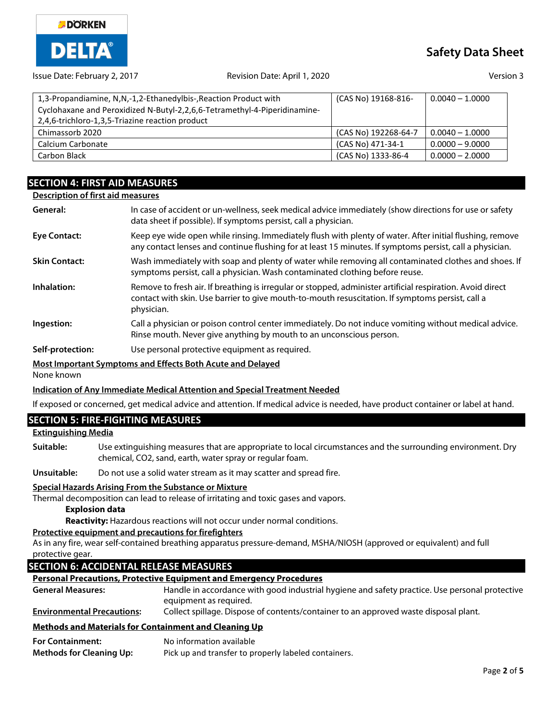

# **Safety Data Sheet**

#### Issue Date: February 2, 2017 Revision Date: April 1, 2020 Version 3

| 1,3-Propandiamine, N,N,-1,2-Ethanedylbis-, Reaction Product with<br>Cyclohaxane and Peroxidized N-Butyl-2,2,6,6-Tetramethyl-4-Piperidinamine- | (CAS No) 19168-816-  | $0.0040 - 1.0000$ |
|-----------------------------------------------------------------------------------------------------------------------------------------------|----------------------|-------------------|
| 2.4.6-trichloro-1.3.5-Triazine reaction product                                                                                               |                      |                   |
| Chimassorb 2020                                                                                                                               | (CAS No) 192268-64-7 | $0.0040 - 1.0000$ |
| Calcium Carbonate                                                                                                                             | (CAS No) 471-34-1    | $0.0000 - 9.0000$ |
| Carbon Black                                                                                                                                  | (CAS No) 1333-86-4   | $0.0000 - 2.0000$ |

# **SECTION 4: FIRST AID MEASURES**

### **Description of first aid measures**

| General:             | In case of accident or un-wellness, seek medical advice immediately (show directions for use or safety<br>data sheet if possible). If symptoms persist, call a physician.                                                    |
|----------------------|------------------------------------------------------------------------------------------------------------------------------------------------------------------------------------------------------------------------------|
| <b>Eye Contact:</b>  | Keep eye wide open while rinsing. Immediately flush with plenty of water. After initial flushing, remove<br>any contact lenses and continue flushing for at least 15 minutes. If symptoms persist, call a physician.         |
| <b>Skin Contact:</b> | Wash immediately with soap and plenty of water while removing all contaminated clothes and shoes. If<br>symptoms persist, call a physician. Wash contaminated clothing before reuse.                                         |
| Inhalation:          | Remove to fresh air. If breathing is irregular or stopped, administer artificial respiration. Avoid direct<br>contact with skin. Use barrier to give mouth-to-mouth resuscitation. If symptoms persist, call a<br>physician. |
| Ingestion:           | Call a physician or poison control center immediately. Do not induce vomiting without medical advice.<br>Rinse mouth. Never give anything by mouth to an unconscious person.                                                 |
| Self-protection:     | Use personal protective equipment as required.                                                                                                                                                                               |

### **Most Important Symptoms and Effects Both Acute and Delayed**

None known

# **Indication of Any Immediate Medical Attention and Special Treatment Needed**

If exposed or concerned, get medical advice and attention. If medical advice is needed, have product container or label at hand.

# **SECTION 5: FIRE-FIGHTING MEASURES**

# **Extinguishing Media**

**Suitable:** Use extinguishing measures that are appropriate to local circumstances and the surrounding environment. Dry chemical, CO2, sand, earth, water spray or regular foam.

**Unsuitable:** Do not use a solid water stream as it may scatter and spread fire.

#### **Special Hazards Arising From the Substance or Mixture**

Thermal decomposition can lead to release of irritating and toxic gases and vapors.

# **Explosion data**

**Reactivity:** Hazardous reactions will not occur under normal conditions.

#### **Protective equipment and precautions for firefighters**

As in any fire, wear self-contained breathing apparatus pressure-demand, MSHA/NIOSH (approved or equivalent) and full protective gear.

# **SECTION 6: ACCIDENTAL RELEASE MEASURES**

#### **Personal Precautions, Protective Equipment and Emergency Procedures**

| Methods and Materials for Containment and Cleaning Up |                                                                                                |
|-------------------------------------------------------|------------------------------------------------------------------------------------------------|
| <b>Environmental Precautions:</b>                     | Collect spillage. Dispose of contents/container to an approved waste disposal plant.           |
|                                                       | equipment as required.                                                                         |
| <b>General Measures:</b>                              | Handle in accordance with good industrial hygiene and safety practice. Use personal protective |

| <b>For Containment:</b>         | No information available                             |
|---------------------------------|------------------------------------------------------|
| <b>Methods for Cleaning Up:</b> | Pick up and transfer to properly labeled containers. |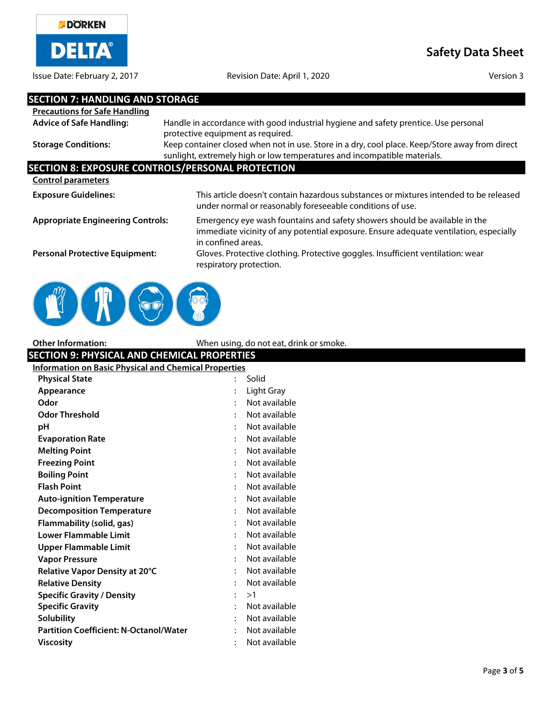

Issue Date: February 2, 2017 **Revision Date: April 1, 2020** Version 3

**Safety Data Sheet**

| <b>SECTION 7: HANDLING AND STORAGE</b>                       |                                                                                                                                                                                           |
|--------------------------------------------------------------|-------------------------------------------------------------------------------------------------------------------------------------------------------------------------------------------|
| <b>Precautions for Safe Handling</b>                         |                                                                                                                                                                                           |
| <b>Advice of Safe Handling:</b>                              | Handle in accordance with good industrial hygiene and safety prentice. Use personal<br>protective equipment as required.                                                                  |
| <b>Storage Conditions:</b>                                   | Keep container closed when not in use. Store in a dry, cool place. Keep/Store away from direct<br>sunlight, extremely high or low temperatures and incompatible materials.                |
|                                                              | <b>SECTION 8: EXPOSURE CONTROLS/PERSONAL PROTECTION</b>                                                                                                                                   |
| <b>Control parameters</b>                                    |                                                                                                                                                                                           |
| <b>Exposure Guidelines:</b>                                  | This article doesn't contain hazardous substances or mixtures intended to be released<br>under normal or reasonably foreseeable conditions of use.                                        |
| <b>Appropriate Engineering Controls:</b>                     | Emergency eye wash fountains and safety showers should be available in the<br>immediate vicinity of any potential exposure. Ensure adequate ventilation, especially<br>in confined areas. |
| <b>Personal Protective Equipment:</b>                        | Gloves. Protective clothing. Protective goggles. Insufficient ventilation: wear<br>respiratory protection.                                                                                |
|                                                              |                                                                                                                                                                                           |
| <b>Other Information:</b>                                    | When using, do not eat, drink or smoke.                                                                                                                                                   |
| <b>SECTION 9: PHYSICAL AND CHEMICAL PROPERTIES</b>           |                                                                                                                                                                                           |
| <b>Information on Basic Physical and Chemical Properties</b> |                                                                                                                                                                                           |
| <b>Physical State</b>                                        | Solid                                                                                                                                                                                     |
| Appearance                                                   | Light Gray                                                                                                                                                                                |
| Odor                                                         | Not available                                                                                                                                                                             |
| <b>Odor Threshold</b>                                        | Not available                                                                                                                                                                             |
| рH                                                           | Not available                                                                                                                                                                             |

| рH                                            | $\ddot{\cdot}$ | Not available |
|-----------------------------------------------|----------------|---------------|
| <b>Evaporation Rate</b>                       | ٠              | Not available |
| <b>Melting Point</b>                          |                | Not available |
| <b>Freezing Point</b>                         |                | Not available |
| <b>Boiling Point</b>                          |                | Not available |
| <b>Flash Point</b>                            |                | Not available |
| <b>Auto-ignition Temperature</b>              |                | Not available |
| <b>Decomposition Temperature</b>              |                | Not available |
| Flammability (solid, gas)                     |                | Not available |
| Lower Flammable Limit                         |                | Not available |
| Upper Flammable Limit                         |                | Not available |
| Vapor Pressure                                |                | Not available |
| Relative Vapor Density at 20°C                |                | Not available |
| <b>Relative Density</b>                       |                | Not available |
| <b>Specific Gravity / Density</b>             | ٠              | >1            |
| <b>Specific Gravity</b>                       | ٠              | Not available |
| Solubility                                    |                | Not available |
| <b>Partition Coefficient: N-Octanol/Water</b> |                | Not available |
| Viscosity                                     |                | Not available |
|                                               |                |               |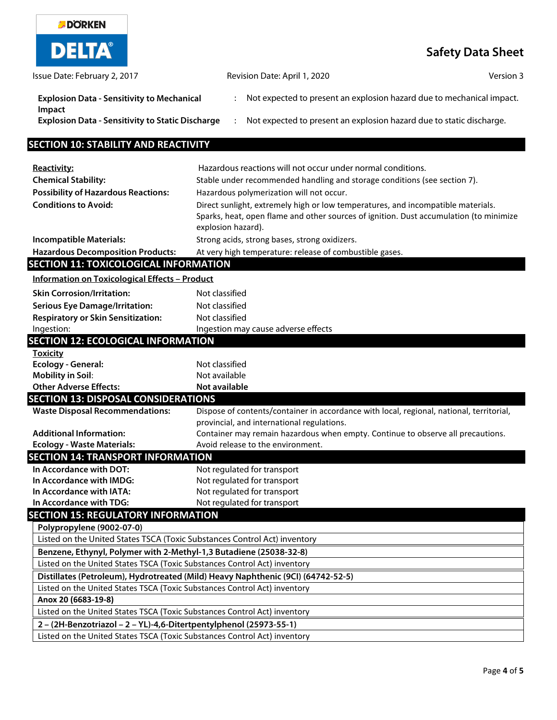| <b>DÖRKEN</b>                                                             |                                                                                                                                                                                                  |                          |
|---------------------------------------------------------------------------|--------------------------------------------------------------------------------------------------------------------------------------------------------------------------------------------------|--------------------------|
| <b>DELTA®</b>                                                             |                                                                                                                                                                                                  | <b>Safety Data Sheet</b> |
| Issue Date: February 2, 2017                                              | Revision Date: April 1, 2020                                                                                                                                                                     | Version 3                |
| <b>Explosion Data - Sensitivity to Mechanical</b>                         | Not expected to present an explosion hazard due to mechanical impact.                                                                                                                            |                          |
| Impact<br><b>Explosion Data - Sensitivity to Static Discharge</b>         | Not expected to present an explosion hazard due to static discharge.                                                                                                                             |                          |
| <b>SECTION 10: STABILITY AND REACTIVITY</b>                               |                                                                                                                                                                                                  |                          |
| Reactivity:                                                               | Hazardous reactions will not occur under normal conditions.                                                                                                                                      |                          |
| <b>Chemical Stability:</b>                                                | Stable under recommended handling and storage conditions (see section 7).                                                                                                                        |                          |
| <b>Possibility of Hazardous Reactions:</b>                                | Hazardous polymerization will not occur.                                                                                                                                                         |                          |
| <b>Conditions to Avoid:</b>                                               | Direct sunlight, extremely high or low temperatures, and incompatible materials.<br>Sparks, heat, open flame and other sources of ignition. Dust accumulation (to minimize<br>explosion hazard). |                          |
| <b>Incompatible Materials:</b>                                            | Strong acids, strong bases, strong oxidizers.                                                                                                                                                    |                          |
| <b>Hazardous Decomposition Products:</b>                                  | At very high temperature: release of combustible gases.                                                                                                                                          |                          |
| <b>SECTION 11: TOXICOLOGICAL INFORMATION</b>                              |                                                                                                                                                                                                  |                          |
| <b>Information on Toxicological Effects - Product</b>                     |                                                                                                                                                                                                  |                          |
| <b>Skin Corrosion/Irritation:</b>                                         | Not classified                                                                                                                                                                                   |                          |
| <b>Serious Eye Damage/Irritation:</b>                                     | Not classified                                                                                                                                                                                   |                          |
| <b>Respiratory or Skin Sensitization:</b>                                 | Not classified                                                                                                                                                                                   |                          |
| Ingestion:                                                                | Ingestion may cause adverse effects                                                                                                                                                              |                          |
| <b>SECTION 12: ECOLOGICAL INFORMATION</b>                                 |                                                                                                                                                                                                  |                          |
| <b>Toxicity</b><br><b>Ecology - General:</b>                              | Not classified                                                                                                                                                                                   |                          |
| <b>Mobility in Soil:</b>                                                  | Not available                                                                                                                                                                                    |                          |
| <b>Other Adverse Effects:</b>                                             | Not available                                                                                                                                                                                    |                          |
| <b>SECTION 13: DISPOSAL CONSIDERATIONS</b>                                |                                                                                                                                                                                                  |                          |
| <b>Waste Disposal Recommendations:</b>                                    | Dispose of contents/container in accordance with local, regional, national, territorial                                                                                                          |                          |
|                                                                           | provincial, and international regulations.                                                                                                                                                       |                          |
| <b>Additional Information:</b>                                            | Container may remain hazardous when empty. Continue to observe all precautions.                                                                                                                  |                          |
| <b>Ecology - Waste Materials:</b>                                         | Avoid release to the environment.                                                                                                                                                                |                          |
| <b>SECTION 14: TRANSPORT INFORMATION</b>                                  |                                                                                                                                                                                                  |                          |
| In Accordance with DOT:                                                   | Not regulated for transport                                                                                                                                                                      |                          |
| In Accordance with IMDG:<br>In Accordance with IATA:                      | Not regulated for transport<br>Not regulated for transport                                                                                                                                       |                          |
| In Accordance with TDG:                                                   | Not regulated for transport                                                                                                                                                                      |                          |
| <b>SECTION 15: REGULATORY INFORMATION</b>                                 |                                                                                                                                                                                                  |                          |
| Polypropylene (9002-07-0)                                                 |                                                                                                                                                                                                  |                          |
| Listed on the United States TSCA (Toxic Substances Control Act) inventory |                                                                                                                                                                                                  |                          |
| Benzene, Ethynyl, Polymer with 2-Methyl-1,3 Butadiene (25038-32-8)        |                                                                                                                                                                                                  |                          |
| Listed on the United States TSCA (Toxic Substances Control Act) inventory |                                                                                                                                                                                                  |                          |
|                                                                           | Distillates (Petroleum), Hydrotreated (Mild) Heavy Naphthenic (9CI) (64742-52-5)                                                                                                                 |                          |
| Listed on the United States TSCA (Toxic Substances Control Act) inventory |                                                                                                                                                                                                  |                          |
| Anox 20 (6683-19-8)                                                       |                                                                                                                                                                                                  |                          |
| Listed on the United States TSCA (Toxic Substances Control Act) inventory |                                                                                                                                                                                                  |                          |
| 2 - (2H-Benzotriazol - 2 - YL)-4,6-Ditertpentylphenol (25973-55-1)        |                                                                                                                                                                                                  |                          |
| Listed on the United States TSCA (Toxic Substances Control Act) inventory |                                                                                                                                                                                                  |                          |